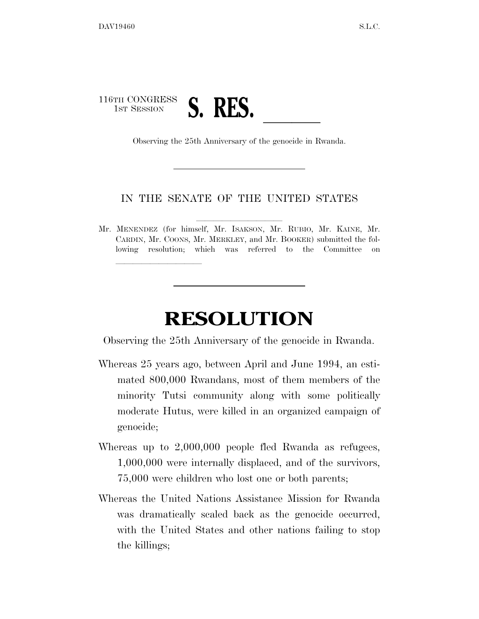## 116TH CONGRESS 1st SESSION **S. RES.** Observing the 25th Anniversary of the genocide in Rwanda.

lle and a second control of the second control of the second control of the second control of the second control of the second control of the second control of the second control of the second control of the second control

## IN THE SENATE OF THE UNITED STATES

Mr. MENENDEZ (for himself, Mr. ISAKSON, Mr. RUBIO, Mr. KAINE, Mr. CARDIN, Mr. COONS, Mr. MERKLEY, and Mr. BOOKER) submitted the following resolution; which was referred to the Committee on

## **RESOLUTION**

Observing the 25th Anniversary of the genocide in Rwanda.

- Whereas 25 years ago, between April and June 1994, an estimated 800,000 Rwandans, most of them members of the minority Tutsi community along with some politically moderate Hutus, were killed in an organized campaign of genocide;
- Whereas up to 2,000,000 people fled Rwanda as refugees, 1,000,000 were internally displaced, and of the survivors, 75,000 were children who lost one or both parents;
- Whereas the United Nations Assistance Mission for Rwanda was dramatically scaled back as the genocide occurred, with the United States and other nations failing to stop the killings;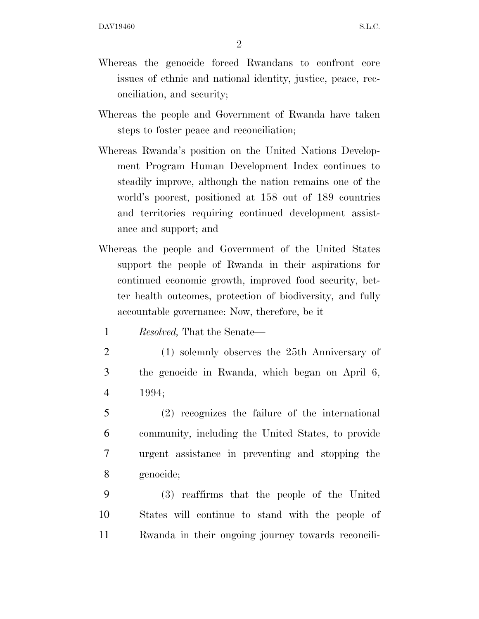2

- Whereas the genocide forced Rwandans to confront core issues of ethnic and national identity, justice, peace, reconciliation, and security;
- Whereas the people and Government of Rwanda have taken steps to foster peace and reconciliation;
- Whereas Rwanda's position on the United Nations Development Program Human Development Index continues to steadily improve, although the nation remains one of the world's poorest, positioned at 158 out of 189 countries and territories requiring continued development assistance and support; and
- Whereas the people and Government of the United States support the people of Rwanda in their aspirations for continued economic growth, improved food security, better health outcomes, protection of biodiversity, and fully accountable governance: Now, therefore, be it

1 *Resolved,* That the Senate—

- 2 (1) solemnly observes the 25th Anniversary of 3 the genocide in Rwanda, which began on April 6, 4 1994;
- 5 (2) recognizes the failure of the international 6 community, including the United States, to provide 7 urgent assistance in preventing and stopping the 8 genocide;
- 9 (3) reaffirms that the people of the United 10 States will continue to stand with the people of 11 Rwanda in their ongoing journey towards reconcili-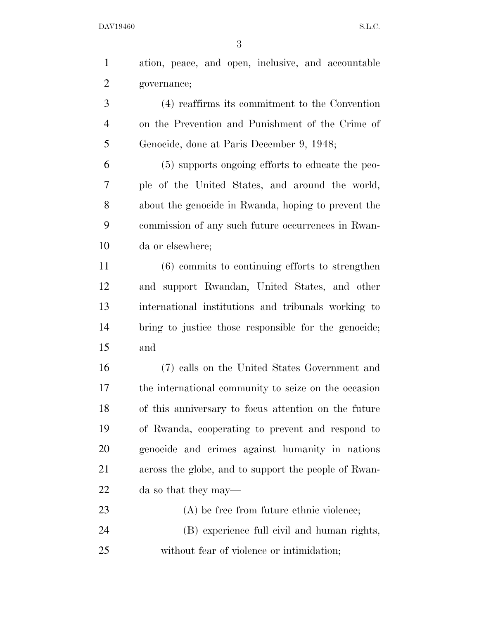DAV19460 S.L.C.

 ation, peace, and open, inclusive, and accountable governance; (4) reaffirms its commitment to the Convention on the Prevention and Punishment of the Crime of Genocide, done at Paris December 9, 1948; (5) supports ongoing efforts to educate the peo- ple of the United States, and around the world, about the genocide in Rwanda, hoping to prevent the commission of any such future occurrences in Rwan- da or elsewhere; (6) commits to continuing efforts to strengthen and support Rwandan, United States, and other international institutions and tribunals working to bring to justice those responsible for the genocide; and (7) calls on the United States Government and the international community to seize on the occasion of this anniversary to focus attention on the future of Rwanda, cooperating to prevent and respond to genocide and crimes against humanity in nations across the globe, and to support the people of Rwan- da so that they may— 23 (A) be free from future ethnic violence; (B) experience full civil and human rights,

without fear of violence or intimidation;